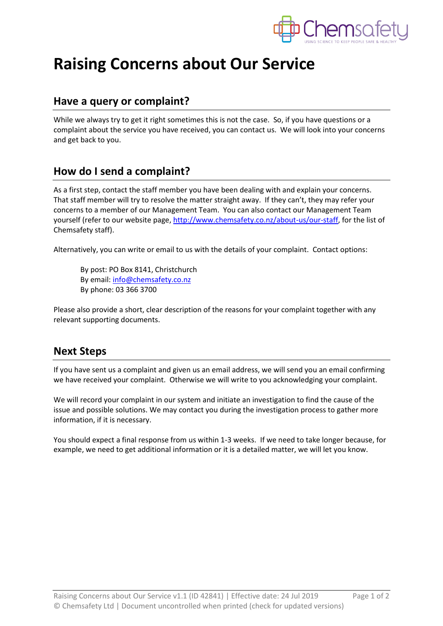

# **Raising Concerns about Our Service**

#### **Have a query or complaint?**

While we always try to get it right sometimes this is not the case. So, if you have questions or a complaint about the service you have received, you can contact us. We will look into your concerns and get back to you.

## **How do I send a complaint?**

As a first step, contact the staff member you have been dealing with and explain your concerns. That staff member will try to resolve the matter straight away. If they can't, they may refer your concerns to a member of our Management Team. You can also contact our Management Team yourself (refer to our website page[, http://www.chemsafety.co.nz/about-us/our-staff,](http://www.chemsafety.co.nz/about-us/our-staff) for the list of Chemsafety staff).

Alternatively, you can write or email to us with the details of your complaint. Contact options:

By post: PO Box 8141, Christchurch By email: [info@chemsafety.co.nz](mailto:info@chemsafety.co.nz) By phone: 03 366 3700

Please also provide a short, clear description of the reasons for your complaint together with any relevant supporting documents.

## **Next Steps**

If you have sent us a complaint and given us an email address, we will send you an email confirming we have received your complaint. Otherwise we will write to you acknowledging your complaint.

We will record your complaint in our system and initiate an investigation to find the cause of the issue and possible solutions. We may contact you during the investigation process to gather more information, if it is necessary.

You should expect a final response from us within 1-3 weeks. If we need to take longer because, for example, we need to get additional information or it is a detailed matter, we will let you know.